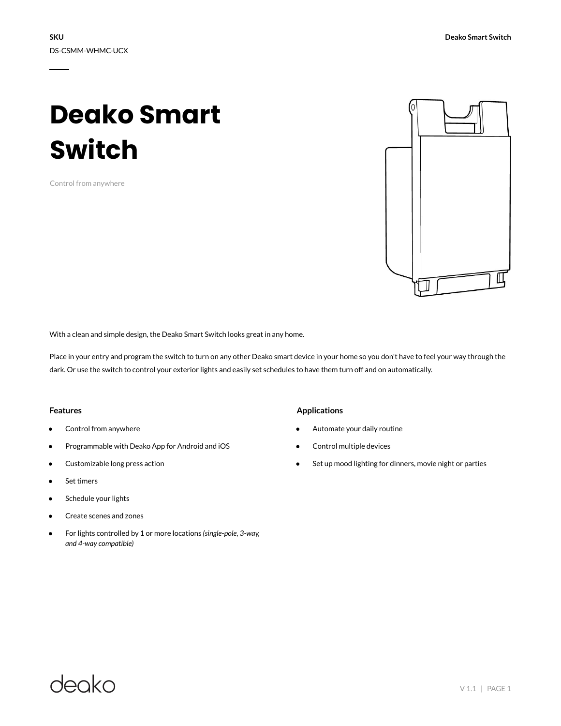# **Deako Smart Switch**

Control from anywhere



With a clean and simple design, the Deako Smart Switch looks great in any home.

Place in your entry and program the switch to turn on any other Deako smart device in your home so you don't have to feel your way through the dark. Or use the switch to control your exterior lights and easily set schedules to have them turn off and on automatically.

### **Features**

- Control from anywhere
- Programmable with Deako App for Android and iOS
- Customizable long press action
- Set timers
- Schedule your lights
- Create scenes and zones
- For lights controlled by 1 or more locations *(single-pole, 3-way, and 4-way compatible)*

### **Applications**

- Automate your daily routine
- Control multiple devices
- Set up mood lighting for dinners, movie night or parties